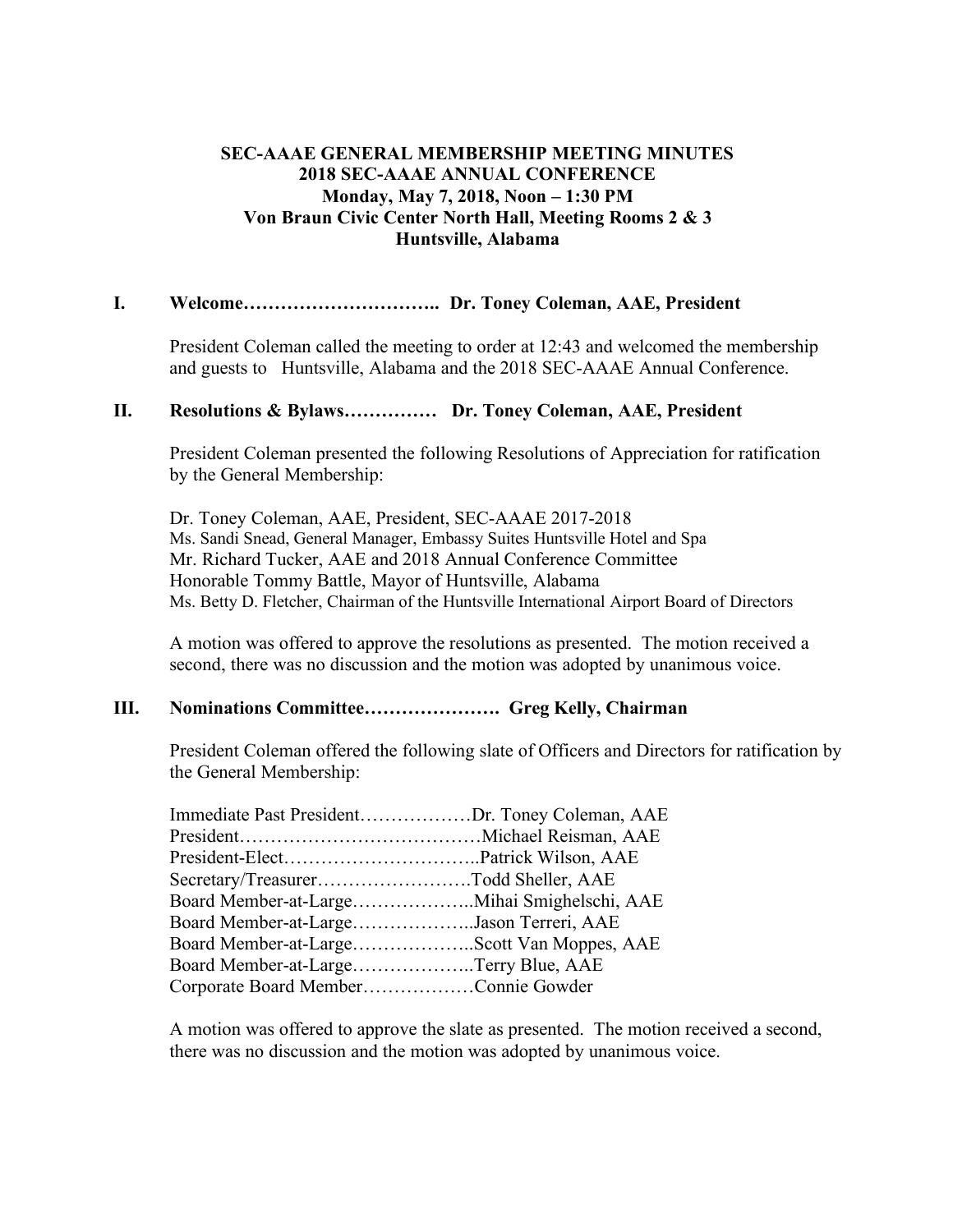# **SEC-AAAE GENERAL MEMBERSHIP MEETING MINUTES 2018 SEC-AAAE ANNUAL CONFERENCE Monday, May 7, 2018, Noon – 1:30 PM Von Braun Civic Center North Hall, Meeting Rooms 2 & 3 Huntsville, Alabama**

## **I. Welcome………………………….. Dr. Toney Coleman, AAE, President**

President Coleman called the meeting to order at 12:43 and welcomed the membership and guests to Huntsville, Alabama and the 2018 SEC-AAAE Annual Conference.

### **II. Resolutions & Bylaws…………… Dr. Toney Coleman, AAE, President**

President Coleman presented the following Resolutions of Appreciation for ratification by the General Membership:

Dr. Toney Coleman, AAE, President, SEC-AAAE 2017-2018 Ms. Sandi Snead, General Manager, Embassy Suites Huntsville Hotel and Spa Mr. Richard Tucker, AAE and 2018 Annual Conference Committee Honorable Tommy Battle, Mayor of Huntsville, Alabama Ms. Betty D. Fletcher, Chairman of the Huntsville International Airport Board of Directors

A motion was offered to approve the resolutions as presented. The motion received a second, there was no discussion and the motion was adopted by unanimous voice.

### **III. Nominations Committee…………………. Greg Kelly, Chairman**

President Coleman offered the following slate of Officers and Directors for ratification by the General Membership:

| Immediate Past PresidentDr. Toney Coleman, AAE |
|------------------------------------------------|
|                                                |
|                                                |
| Secretary/TreasurerTodd Sheller, AAE           |
|                                                |
| Board Member-at-LargeJason Terreri, AAE        |
| Board Member-at-LargeScott Van Moppes, AAE     |
| Board Member-at-LargeTerry Blue, AAE           |
| Corporate Board MemberConnie Gowder            |
|                                                |

A motion was offered to approve the slate as presented. The motion received a second, there was no discussion and the motion was adopted by unanimous voice.